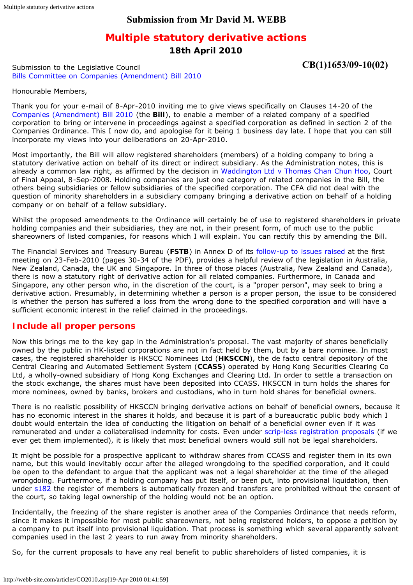# **Submission from Mr David M. WEBB**

# **Multiple statutory derivative actions** *18th April 2010*

Submission to the Legislative Council [Bills Committee on Companies \(Amendment\) Bill 2010](http://www.legco.gov.hk/yr09-10/english/bc/bc03/general/bc03.htm) **CB(1)1653/09-10(02)**

Honourable Members,

Thank you for your e-mail of 8-Apr-2010 inviting me to give views specifically on Clauses 14-20 of the [Companies \(Amendment\) Bill 2010](http://www.legco.gov.hk/yr09-10/english/bills/b201001221.pdf) (the **Bill**), to enable a member of a related company of a specified corporation to bring or intervene in proceedings against a specified corporation as defined in section 2 of the Companies Ordinance. This I now do, and apologise for it being 1 business day late. I hope that you can still incorporate my views into your deliberations on 20-Apr-2010.

Most importantly, the Bill will allow registered shareholders (members) of a holding company to bring a statutory derivative action on behalf of its direct or indirect subsidiary. As the Administration notes, this is already a common law right, as affirmed by the decision in [Waddington Ltd v Thomas Chan Chun Hoo](http://legalref.judiciary.gov.hk/lrs/common/ju/ju_frame.jsp?DIS=62499), Court of Final Appeal, 8-Sep-2008. Holding companies are just one category of related companies in the Bill, the others being subsidiaries or fellow subsidiaries of the specified corporation. The CFA did not deal with the question of minority shareholders in a subsidiary company bringing a derivative action on behalf of a holding company or on behalf of a fellow subsidiary.

Whilst the proposed amendments to the Ordinance will certainly be of use to registered shareholders in private holding companies and their subsidiaries, they are not, in their present form, of much use to the public shareowners of listed companies, for reasons which I will explain. You can rectify this by amending the Bill.

The Financial Services and Treasury Bureau (**FSTB**) in Annex D of its [follow-up to issues raised](http://www.legco.gov.hk/yr09-10/english/bc/bc03/papers/bc030330cb1-1453-8-e.pdf) at the first meeting on 23-Feb-2010 (pages 30-34 of the PDF), provides a helpful review of the legislation in Australia, New Zealand, Canada, the UK and Singapore. In three of those places (Australia, New Zealand and Canada), there is now a statutory right of derivative action for all related companies. Furthermore, in Canada and Singapore, any other person who, in the discretion of the court, is a "proper person", may seek to bring a derivative action. Presumably, in determining whether a person is a proper person, the issue to be considered is whether the person has suffered a loss from the wrong done to the specified corporation and will have a sufficient economic interest in the relief claimed in the proceedings.

#### **Include all proper persons**

Now this brings me to the key gap in the Administration's proposal. The vast majority of shares beneficially owned by the public in HK-listed corporations are not in fact held by them, but by a bare nominee. In most cases, the registered shareholder is HKSCC Nominees Ltd (**HKSCCN**), the *de facto* central depository of the Central Clearing and Automated Settlement System (**CCASS**) operated by Hong Kong Securities Clearing Co Ltd, a wholly-owned subsidiary of Hong Kong Exchanges and Clearing Ltd. In order to settle a transaction on the stock exchange, the shares must have been deposited into CCASS. HKSCCN in turn holds the shares for more nominees, owned by banks, brokers and custodians, who in turn hold shares for beneficial owners.

There is no realistic possibility of HKSCCN bringing derivative actions on behalf of beneficial owners, because it has no economic interest in the shares it holds, and because it is part of a bureaucratic public body which I doubt would entertain the idea of conducting the litigation on behalf of a beneficial owner even if it was remunerated and under a collateralised indemnity for costs. Even under [scrip-less registration proposals](http://webb-site.com/dbpub/subject.asp?t=41) (if we ever get them implemented), it is likely that most beneficial owners would still not be legal shareholders.

It might be possible for a prospective applicant to withdraw shares from CCASS and register them in its own name, but this would inevitably occur after the alleged wrongdoing to the specified corporation, and it could be open to the defendant to argue that the applicant was not a legal shareholder at the time of the alleged wrongdoing. Furthermore, if a holding company has put itself, or been put, into provisional liquidation, then under [s182](http://www.legislation.gov.hk/blis_ind.nsf/CurAllEngDoc/480D5D9FDE0546FBC8256480004326D0?OpenDocument) the register of members is automatically frozen and transfers are prohibited without the consent of the court, so taking legal ownership of the holding would not be an option.

Incidentally, the freezing of the share register is another area of the Companies Ordinance that needs reform, since it makes it impossible for most public shareowners, not being registered holders, to oppose a petition by a company to put itself into provisional liquidation. That process is something which several apparently solvent companies used in the last 2 years to run away from minority shareholders.

So, for the current proposals to have any real benefit to public shareholders of listed companies, it is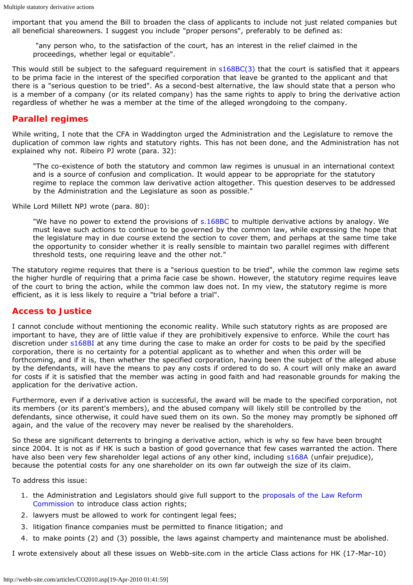important that you amend the Bill to broaden the class of applicants to include not just related companies but all beneficial shareowners. I suggest you include "proper persons", preferably to be defined as:

"any person who, to the satisfaction of the court, has an interest in the relief claimed in the proceedings, whether legal or equitable".

This would still be subject to the safeguard requirement in [s168BC\(3\)](http://www.legislation.gov.hk/blis_ind.nsf/CurAllEngDoc/27104FAE36ABEE4A4825705100299CDB?OpenDocument) that the court is satisfied that it appears to be prima facie in the interest of the specified corporation that leave be granted to the applicant and that there is a "serious question to be tried". As a second-best alternative, the law should state that a person who is a member of a company (or its related company) has the same rights to apply to bring the derivative action regardless of whether he was a member at the time of the alleged wrongdoing to the company.

#### **Parallel regimes**

While writing, I note that the CFA in *Waddington* urged the Administration and the Legislature to remove the duplication of common law rights and statutory rights. This has not been done, and the Administration has not explained why not. Ribeiro PJ wrote (para. 32):

"The co-existence of both the statutory and common law regimes is unusual in an international context and is a source of confusion and complication. It would appear to be appropriate for the statutory regime to replace the common law derivative action altogether. This question deserves to be addressed by the Administration and the Legislature as soon as possible."

While Lord Millett NPJ wrote (para. 80):

"We have no power to extend the provisions of [s.168BC](http://www.legislation.gov.hk/blis_ind.nsf/CurAllEngDoc/27104FAE36ABEE4A4825705100299CDB?OpenDocument) to multiple derivative actions by analogy. We must leave such actions to continue to be governed by the common law, while expressing the hope that the legislature may in due course extend the section to cover them, and perhaps at the same time take the opportunity to consider whether it is really sensible to maintain two parallel regimes with different threshold tests, one requiring leave and the other not."

The statutory regime requires that there is a "serious question to be tried", while the common law regime sets the higher hurdle of requiring that a prima facie case be shown. However, the statutory regime requires leave of the court to bring the action, while the common law does not. In my view, the statutory regime is more efficient, as it is less likely to require a "trial before a trial".

#### **Access to Justice**

I cannot conclude without mentioning the economic reality. While such statutory rights as are proposed are important to have, they are of little value if they are prohibitively expensive to enforce. While the court has discretion under [s168BI](http://www.legislation.gov.hk/blis_ind.nsf/CurAllEngDoc/D543BC7630E0384C4825705100299CE1?OpenDocument) at any time during the case to make an order for costs to be paid by the specified corporation, there is no certainty for a potential applicant as to whether and when this order will be forthcoming, and if it is, then whether the specified corporation, having been the subject of the alleged abuse by the defendants, will have the means to pay any costs if ordered to do so. A court will only make an award for costs if it is satisfied that the member was acting in good faith and had reasonable grounds for making the application for the derivative action.

Furthermore, even if a derivative action is successful, the award will be made to the specified corporation, not its members (or its parent's members), and the abused company will likely still be controlled by the defendants, since otherwise, it could have sued them on its own. So the money may promptly be siphoned off again, and the value of the recovery may never be realised by the shareholders.

So these are significant deterrents to bringing a derivative action, which is why so few have been brought since 2004. It is not as if HK is such a bastion of good governance that few cases warranted the action. There have also been very few shareholder legal actions of any other kind, including [s168A](http://www.legislation.gov.hk/blis_ind.nsf/CurAllEngDoc/921FBAD1B738B01B4825705100299CD0?OpenDocument) (unfair prejudice), because the potential costs for any one shareholder on its own far outweigh the size of its claim.

To address this issue:

- 1. the Administration and Legislators should give full support to the [proposals of the Law Reform](http://www.hkreform.gov.hk/en/publications/classactions.htm) [Commission](http://www.hkreform.gov.hk/en/publications/classactions.htm) to introduce class action rights;
- 2. lawyers must be allowed to work for contingent legal fees;
- 3. litigation finance companies must be permitted to finance litigation; and
- 4. to make points (2) and (3) possible, the laws against champerty and maintenance must be abolished.

I wrote extensively about all these issues on Webb-site.com in the article Class actions for HK (17-Mar-10)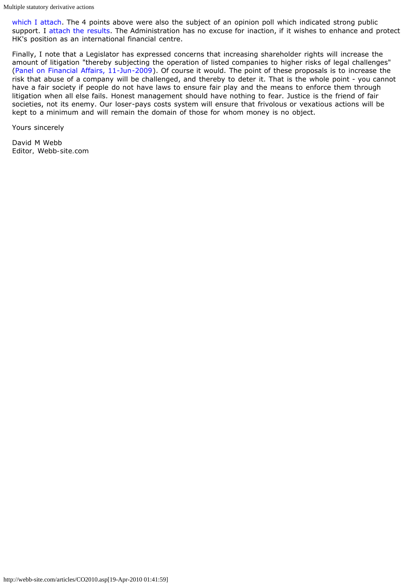[which I attach.](#page-3-0) The 4 points above were also the subject of an opinion poll which indicated strong public support. I [attach the results.](#page-8-0) The Administration has no excuse for inaction, if it wishes to enhance and protect HK's position as an international financial centre.

Finally, I note that a Legislator has expressed concerns that increasing shareholder rights will increase the amount of litigation "thereby subjecting the operation of listed companies to higher risks of legal challenges" ([Panel on Financial Affairs, 11-Jun-2009](http://www.legco.gov.hk/yr08-09/english/panels/fa/minutes/fa20090611.pdf)). Of course it would. The point of these proposals is to increase the risk that abuse of a company will be challenged, and thereby to deter it. That is the whole point - you cannot have a fair society if people do not have laws to ensure fair play and the means to enforce them through litigation when all else fails. Honest management should have nothing to fear. Justice is the friend of fair societies, not its enemy. Our loser-pays costs system will ensure that frivolous or vexatious actions will be kept to a minimum and will remain the domain of those for whom money is no object.

Yours sincerely

David M Webb *Editor, Webb-site.com*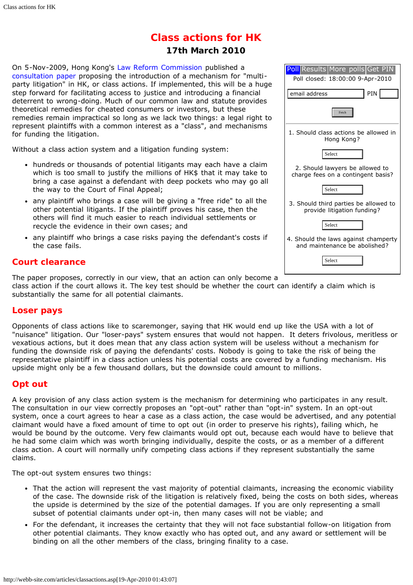# **Class actions for HK**

#### *17th March 2010*

<span id="page-3-0"></span>On 5-Nov-2009, Hong Kong's [Law Reform Commission](http://webb-site.com/dbpub/orgdata.asp?p=21130) published a [consultation paper](http://www.hkreform.gov.hk/en/publications/classactions.htm) proposing the introduction of a mechanism for "multiparty litigation" in HK, or class actions. If implemented, this will be a huge step forward for facilitating access to justice and introducing a financial deterrent to wrong-doing. Much of our common law and statute provides theoretical remedies for cheated consumers or investors, but these remedies remain impractical so long as we lack two things: a legal right to represent plaintiffs with a common interest as a "class", and mechanisms for funding the litigation.

Without a class action system and a litigation funding system:

- hundreds or thousands of potential litigants may each have a claim which is too small to justify the millions of HK\$ that it may take to bring a case against a defendant with deep pockets who may go all the way to the Court of Final Appeal;
- any plaintiff who brings a case will be giving a "free ride" to all the other potential litigants. If the plaintiff proves his case, then the others will find it much easier to reach individual settlements or recycle the evidence in their own cases; and
- any plaintiff who brings a case risks paying the defendant's costs if the case fails.

#### **Court clearance**

The paper proposes, correctly in our view, that an action can only become a

class action if the court allows it. The key test should be whether the court can identify a claim which is substantially the same for all potential claimants.

#### **Loser pays**

Opponents of class actions like to scaremonger, saying that HK would end up like the USA with a lot of "nuisance" litigation. Our "loser-pays" system ensures that would not happen. It deters frivolous, meritless or vexatious actions, but it does mean that any class action system will be useless without a mechanism for funding the downside risk of paying the defendants' costs. Nobody is going to take the risk of being the representative plaintiff in a class action unless his potential costs are covered by a funding mechanism. His upside might only be a few thousand dollars, but the downside could amount to millions.

### **Opt out**

A key provision of any class action system is the mechanism for determining who participates in any result. The consultation in our view correctly proposes an "opt-out" rather than "opt-in" system. In an opt-out system, once a court agrees to hear a case as a class action, the case would be advertised, and any potential claimant would have a fixed amount of time to opt out (in order to preserve his rights), failing which, he would be bound by the outcome. Very few claimants would opt out, because each would have to believe that he had some claim which was worth bringing individually, despite the costs, or as a member of a different class action. A court will normally unify competing class actions if they represent substantially the same claims.

The opt-out system ensures two things:

- That the action will represent the vast majority of potential claimants, increasing the economic viability of the case. The downside risk of the litigation is relatively fixed, being the costs on both sides, whereas the upside is determined by the size of the potential damages. If you are only representing a small subset of potential claimants under opt-in, then many cases will not be viable; and
- For the defendant, it increases the certainty that they will not face substantial follow-on litigation from other potential claimants. They know exactly who has opted out, and any award or settlement will be binding on all the other members of the class, bringing finality to a case.

| <mark>Poll</mark> Results More polls Get PII<br>Poll closed: 18:00:00 9-Apr-2010 |
|----------------------------------------------------------------------------------|
| PIN<br>email address                                                             |
| Fetch                                                                            |
| 1. Should class actions be allowed in<br>Hong Kong?                              |
| Select                                                                           |
| 2. Should lawyers be allowed to<br>charge fees on a contingent basis?            |
| Select                                                                           |
| 3. Should third parties be allowed to<br>provide litigation funding?             |
| Select                                                                           |
| 4. Should the laws against champerty<br>and maintenance be abolished?            |
| Select                                                                           |
|                                                                                  |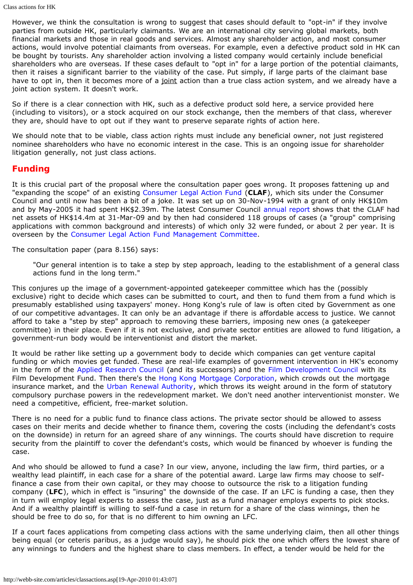However, we think the consultation is wrong to suggest that cases should default to "opt-in" if they involve parties from outside HK, particularly claimants. We are an international city serving global markets, both financial markets and those in real goods and services. Almost any shareholder action, and most consumer actions, would involve potential claimants from overseas. For example, even a defective product sold in HK can be bought by tourists. Any shareholder action involving a listed company would certainly include beneficial shareholders who are overseas. If these cases default to "opt in" for a large portion of the potential claimants, then it raises a significant barrier to the viability of the case. Put simply, if large parts of the claimant base have to opt in, then it becomes more of a joint action than a true class action system, and we already have a joint action system. It doesn't work.

So if there is a clear connection with HK, such as a defective product sold here, a service provided here (including to visitors), or a stock acquired on our stock exchange, then the members of that class, wherever they are, should have to opt out if they want to preserve separate rights of action here.

We should note that to be viable, class action rights must include any beneficial owner, not just registered nominee shareholders who have no economic interest in the case. This is an ongoing issue for shareholder litigation generally, not just class actions.

#### **Funding**

It is this crucial part of the proposal where the consultation paper goes wrong. It proposes fattening up and "expanding the scope" of an existing [Consumer Legal Action Fund](http://www.consumer.org.hk/website/ws_en/legal_protection/consumer_legal_actions_fund/clafinfo.html) (**CLAF**), which sits under the Consumer Council and until now has been a bit of a joke. It was set up on 30-Nov-1994 with a grant of only HK\$10m and by May-2005 it had spent HK\$2.39m. The latest Consumer Council [annual report](http://www.consumer.org.hk/website/ws_en/profile/annual_reports/AnnualReport20082009.html) shows that the CLAF had net assets of HK\$14.4m at 31-Mar-09 and by then had considered 118 groups of cases (a "group" comprising applications with common background and interests) of which only 32 were funded, or about 2 per year. It is overseen by the [Consumer Legal Action Fund Management Committee.](http://webb-site.com/dbpub/officers.asp?p=31080&hide=Y)

The consultation paper (para 8.156) says:

"Our general intention is to take a step by step approach, leading to the establishment of a general class actions fund in the long term."

This conjures up the image of a government-appointed gatekeeper committee which has the (possibly exclusive) right to decide which cases can be submitted to court, and then to fund them from a fund which is presumably established using taxpayers' money. Hong Kong's rule of law is often cited by Government as one of our competitive advantages. It can only be an advantage if there is affordable access to justice. We cannot afford to take a "step by step" approach to removing these barriers, imposing new ones (a gatekeeper committee) in their place. Even if it is not exclusive, and private sector entities are allowed to fund litigation, a government-run body would be interventionist and distort the market.

It would be rather like setting up a government body to decide which companies can get venture capital funding or which movies get funded. These are real-life examples of government intervention in HK's economy in the form of the [Applied Research Council](http://webb-site.com/dbpub/orgdata.asp?p=25630) (and its successors) and the [Film Development Council](http://webb-site.com/dbpub/orgdata.asp?p=30112) with its Film Development Fund. Then there's the [Hong Kong Mortgage Corporation,](http://webb-site.com/dbpub/orgdata.asp?p=13499) which crowds out the mortgage insurance market, and the [Urban Renewal Authority,](http://webb-site.com/dbpub/orgdata.asp?p=16864) which throws its weight around in the form of statutory compulsory purchase powers in the redevelopment market. We don't need another interventionist monster. We need a competitive, efficient, free-market solution.

There is no need for a public fund to finance class actions. The private sector should be allowed to assess cases on their merits and decide whether to finance them, covering the costs (including the defendant's costs on the downside) in return for an agreed share of any winnings. The courts should have discretion to require security from the plaintiff to cover the defendant's costs, which would be financed by whoever is funding the case.

And who should be allowed to fund a case? In our view, anyone, including the law firm, third parties, or a wealthy lead plaintiff, in each case for a share of the potential award. Large law firms may choose to selffinance a case from their own capital, or they may choose to outsource the risk to a litigation funding company (**LFC**), which in effect is "insuring" the downside of the case. If an LFC is funding a case, then they in turn will employ legal experts to assess the case, just as a fund manager employs experts to pick stocks. And if a wealthy plaintiff is willing to self-fund a case in return for a share of the class winnings, then he should be free to do so, for that is no different to him owning an LFC.

If a court faces applications from competing class actions with the same underlying claim, then all other things being equal (or *ceteris paribus*, as a judge would say), he should pick the one which offers the lowest share of any winnings to funders and the highest share to class members. In effect, a tender would be held for the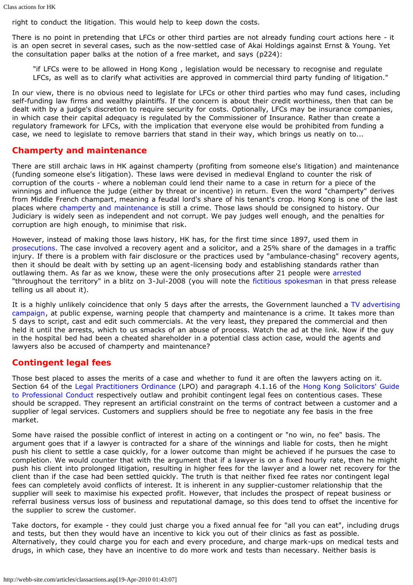right to conduct the litigation. This would help to keep down the costs.

There is no point in pretending that LFCs or other third parties are not already funding court actions here - it is an open secret in several cases, such as the now-settled case of Akai Holdings against Ernst & Young. Yet the consultation paper balks at the notion of a free market, and says (p224):

"if LFCs were to be allowed in Hong Kong , legislation would be necessary to recognise and regulate LFCs, as well as to clarify what activities are approved in commercial third party funding of litigation."

In our view, there is no obvious need to legislate for LFCs or other third parties who may fund cases, including self-funding law firms and wealthy plaintiffs. If the concern is about their credit worthiness, then that can be dealt with by a judge's discretion to require security for costs. Optionally, LFCs may be insurance companies, in which case their capital adequacy is regulated by the Commissioner of Insurance. Rather than create a regulatory framework for LFCs, with the implication that everyone else would be prohibited from funding a case, we need to legislate to remove barriers that stand in their way, which brings us neatly on to...

#### **Champerty and maintenance**

There are still archaic laws in HK against champerty (profiting from someone else's litigation) and maintenance (funding someone else's litigation). These laws were devised in medieval England to counter the risk of corruption of the courts - where a nobleman could lend their name to a case in return for a piece of the winnings and influence the judge (either by threat or incentive) in return. Even the word "champerty" derives from Middle French *champart*, meaning a feudal lord's share of his tenant's crop. Hong Kong is one of the last places where [champerty and maintenance](http://en.wikipedia.org/wiki/Champerty_and_maintenance) is still a crime. Those laws should be consigned to history. Our Judiciary is widely seen as independent and not corrupt. We pay judges well enough, and the penalties for corruption are high enough, to minimise that risk.

However, instead of making those laws history, HK has, for the first time since 1897, used them in [prosecutions.](http://www.thestandard.com.hk/news_detail.asp?art_id=84631&con_type=1) The case involved a recovery agent and a solicitor, and a 25% share of the damages in a traffic injury. If there is a problem with fair disclosure or the practices used by "ambulance-chasing" recovery agents, then it should be dealt with by setting up an agent-licensing body and establishing standards rather than outlawing them. As far as we know, these were the only prosecutions after 21 people were [arrested](http://www.info.gov.hk/gia/general/200807/08/P200807080184.htm) "throughout the territory" in a blitz on 3-Jul-2008 (you will note the [fictitious spokesman](http://webb-site.com/articles/spokesfiction.asp) in that press release telling us all about it).

It is a highly unlikely coincidence that only 5 days after the arrests, the Government launched a [TV advertising](http://www.isd.gov.hk/eng/tvapi/08_dj4.html) [campaign,](http://www.isd.gov.hk/eng/tvapi/08_dj4.html) at public expense, warning people that champerty and maintenance is a crime. It takes more than 5 days to script, cast and edit such commercials. At the very least, they prepared the commercial and then held it until the arrests, which to us smacks of an abuse of process. Watch the ad at the link. Now if the guy in the hospital bed had been a cheated shareholder in a potential class action case, would the agents and lawyers also be accused of champerty and maintenance?

#### **Contingent legal fees**

Those best placed to asses the merits of a case and whether to fund it are often the lawyers acting on it. Section 64 of the [Legal Practitioners Ordinance](http://www.hklawsoc.org.hk/pub_e/professionalguide/volume2/default.asp?cap=1.8#64) (LPO) and paragraph 4.1.16 of the [Hong Kong Solicitors' Guide](http://www.hklawsoc.org.hk/pub_e/professionalguide/volume1/default.asp?cap=4.1.16) [to Professional Conduct](http://www.hklawsoc.org.hk/pub_e/professionalguide/volume1/default.asp?cap=4.1.16) respectively outlaw and prohibit contingent legal fees on contentious cases. These should be scrapped. They represent an artificial constraint on the terms of contract between a customer and a supplier of legal services. Customers and suppliers should be free to negotiate any fee basis in the free market.

Some have raised the possible conflict of interest in acting on a contingent or "no win, no fee" basis. The argument goes that if a lawyer is contracted for a share of the winnings and liable for costs, then he might push his client to settle a case quickly, for a lower outcome than might be achieved if he pursues the case to completion. We would counter that with the argument that if a lawyer is on a fixed hourly rate, then he might push his client into prolonged litigation, resulting in higher fees for the lawyer and a lower net recovery for the client than if the case had been settled quickly. The truth is that neither fixed fee rates nor contingent legal fees can completely avoid conflicts of interest. It is inherent in any supplier-customer relationship that the supplier will seek to maximise his expected profit. However, that includes the prospect of repeat business or referral business versus loss of business and reputational damage, so this does tend to offset the incentive for the supplier to screw the customer.

Take doctors, for example - they could just charge you a fixed annual fee for "all you can eat", including drugs and tests, but then they would have an incentive to kick you out of their clinics as fast as possible. Alternatively, they could charge you for each and every procedure, and charge mark-ups on medical tests and drugs, in which case, they have an incentive to do more work and tests than necessary. Neither basis is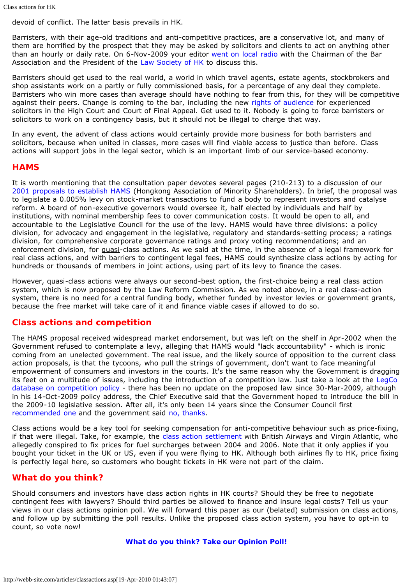devoid of conflict. The latter basis prevails in HK.

Barristers, with their age-old traditions and anti-competitive practices, are a conservative lot, and many of them are horrified by the prospect that they may be asked by solicitors and clients to act on anything other than an hourly or daily rate. On 6-Nov-2009 your editor [went on local radio](http://webb-site.com/audio/Backchat091106.asx) with the Chairman of the Bar Association and the President of the [Law Society of HK](http://webb-site.com/dbpub/orgdata.asp?p=10811) to discuss this.

Barristers should get used to the real world, a world in which travel agents, estate agents, stockbrokers and shop assistants work on a partly or fully commissioned basis, for a percentage of any deal they complete. Barristers who win more cases than average should have nothing to fear from this, for they will be competitive against their peers. Change is coming to the bar, including the new [rights of audience](http://www.legco.gov.hk/yr09-10/english/ord/ord002-10-e.pdf) for experienced solicitors in the High Court and Court of Final Appeal. Get used to it. Nobody is going to force barristers or solicitors to work on a contingency basis, but it should not be illegal to charge that way.

In any event, the advent of class actions would certainly provide more business for both barristers and solicitors, because when united in classes, more cases will find viable access to justice than before. Class actions will support jobs in the legal sector, which is an important limb of our service-based economy.

#### **HAMS**

It is worth mentioning that the consultation paper devotes several pages (210-213) to a discussion of our [2001 proposals to establish HAMS](http://webb-site.com/HAMS/) (Hongkong Association of Minority Shareholders). In brief, the proposal was to legislate a 0.005% levy on stock-market transactions to fund a body to represent investors and catalyse reform. A board of non-executive governors would oversee it, half elected by individuals and half by institutions, with nominal membership fees to cover communication costs. It would be open to all, and accountable to the Legislative Council for the use of the levy. HAMS would have three divisions: a policy division, for advocacy and engagement in the legislative, regulatory and standards-setting process; a ratings division, for comprehensive corporate governance ratings and proxy voting recommendations; and an enforcement division, for quasi-class actions. As we said at the time, in the absence of a legal framework for real class actions, and with barriers to contingent legal fees, HAMS could synthesize class actions by acting for hundreds or thousands of members in joint actions, using part of its levy to finance the cases.

However, quasi-class actions were always our second-best option, the first-choice being a real class action system, which is now proposed by the Law Reform Commission. As we noted above, in a real class-action system, there is no need for a central funding body, whether funded by investor levies or government grants, because the free market will take care of it and finance viable cases if allowed to do so.

#### **Class actions and competition**

The HAMS proposal received widespread market endorsement, but was left on the shelf in Apr-2002 when the Government refused to contemplate a levy, alleging that HAMS would "lack accountability" - which is ironic coming from an unelected government. The real issue, and the likely source of opposition to the current class action proposals, is that the tycoons, who pull the strings of government, don't want to face meaningful empowerment of consumers and investors in the courts. It's the same reason why the Government is dragging its feet on a multitude of issues, including the introduction of a competition law. Just take a look at the [LegCo](http://www.legco.gov.hk/database/english/data_es/es-competition-policy.htm) [database on competition policy](http://www.legco.gov.hk/database/english/data_es/es-competition-policy.htm) - there has been no update on the proposed law since 30-Mar-2009, although in his 14-Oct-2009 policy address, the Chief Executive said that the Government hoped to introduce the bill in the 2009-10 legislative session. After all, it's only been 14 years since the Consumer Council first [recommended one](http://webb-site.com/articles/noncompete.asp) and the government said [no, thanks.](http://www.compag.gov.hk/reference/brochure.pdf)

Class actions would be a key tool for seeking compensation for anti-competitive behaviour such as price-fixing, if that were illegal. Take, for example, the [class action settlement](https://www.airpassengerrefund.co.uk/) with British Airways and Virgin Atlantic, who allegedly conspired to fix prices for fuel surcharges between 2004 and 2006. Note that it only applies if you bought your ticket in the UK or US, even if you were flying to HK. Although both airlines fly to HK, price fixing is perfectly legal here, so customers who bought tickets in HK were not part of the claim.

#### **What do you think?**

Should consumers and investors have class action rights in HK courts? Should they be free to negotiate contingent fees with lawyers? Should third parties be allowed to finance and insure legal costs? Tell us your views in our class actions opinion poll. We will forward this paper as our (belated) submission on class actions, and follow up by submitting the poll results. Unlike the proposed class action system, you have to opt-in to count, so vote now!

#### **[What do you think? Take our Opinion Poll!](http://webb-site.com/vote/poll.asp?p=37)**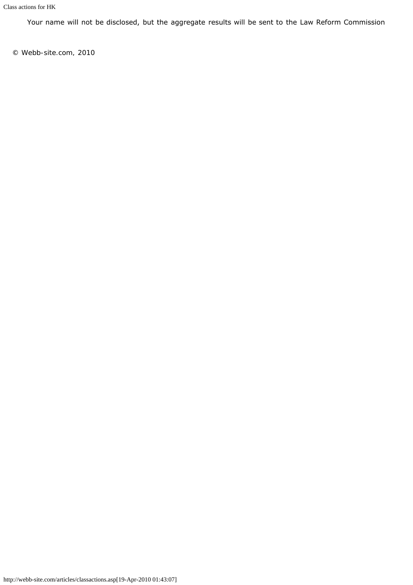Your name will not be disclosed, but the aggregate results will be sent to the Law Reform Commission

*© Webb-site.com, 2010*